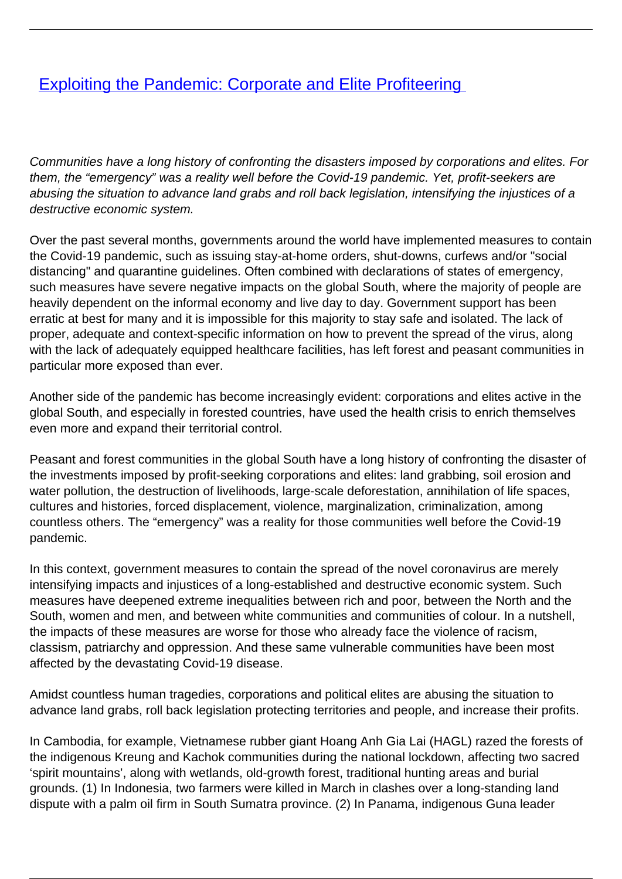## **[Exploiting the Pandemic: Corporate and Elite Profiteering](/bulletin-articles/exploiting-the-pandemic-corporate-and-elite-profiteering)**

Communities have a long history of confronting the disasters imposed by corporations and elites. For them, the "emergency" was a reality well before the Covid-19 pandemic. Yet, profit-seekers are abusing the situation to advance land grabs and roll back legislation, intensifying the injustices of a destructive economic system.

Over the past several months, governments around the world have implemented measures to contain the Covid-19 pandemic, such as issuing stay-at-home orders, shut-downs, curfews and/or "social distancing" and quarantine guidelines. Often combined with declarations of states of emergency, such measures have severe negative impacts on the global South, where the majority of people are heavily dependent on the informal economy and live day to day. Government support has been erratic at best for many and it is impossible for this majority to stay safe and isolated. The lack of proper, adequate and context-specific information on how to prevent the spread of the virus, along with the lack of adequately equipped healthcare facilities, has left forest and peasant communities in particular more exposed than ever.

Another side of the pandemic has become increasingly evident: corporations and elites active in the global South, and especially in forested countries, have used the health crisis to enrich themselves even more and expand their territorial control.

Peasant and forest communities in the global South have a long history of confronting the disaster of the investments imposed by profit-seeking corporations and elites: land grabbing, soil erosion and water pollution, the destruction of livelihoods, large-scale deforestation, annihilation of life spaces, cultures and histories, forced displacement, violence, marginalization, criminalization, among countless others. The "emergency" was a reality for those communities well before the Covid-19 pandemic.

In this context, government measures to contain the spread of the novel coronavirus are merely intensifying impacts and injustices of a long-established and destructive economic system. Such measures have deepened extreme inequalities between rich and poor, between the North and the South, women and men, and between white communities and communities of colour. In a nutshell, the impacts of these measures are worse for those who already face the violence of racism, classism, patriarchy and oppression. And these same vulnerable communities have been most affected by the devastating Covid-19 disease.

Amidst countless human tragedies, corporations and political elites are abusing the situation to advance land grabs, roll back legislation protecting territories and people, and increase their profits.

In Cambodia, for example, Vietnamese rubber giant Hoang Anh Gia Lai (HAGL) razed the forests of the indigenous Kreung and Kachok communities during the national lockdown, affecting two sacred 'spirit mountains', along with wetlands, old-growth forest, traditional hunting areas and burial grounds. (1) In Indonesia, two farmers were killed in March in clashes over a long-standing land dispute with a palm oil firm in South Sumatra province. (2) In Panama, indigenous Guna leader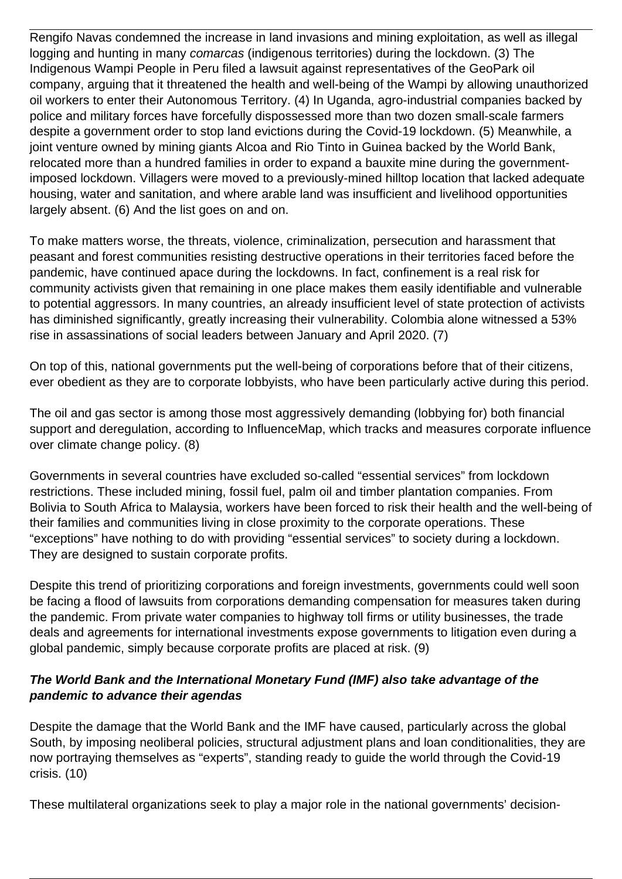Rengifo Navas condemned the increase in land invasions and mining exploitation, as well as illegal logging and hunting in many comarcas (indigenous territories) during the lockdown. (3) The Indigenous Wampi People in Peru filed a lawsuit against representatives of the GeoPark oil company, arguing that it threatened the health and well-being of the Wampi by allowing unauthorized oil workers to enter their Autonomous Territory. (4) In Uganda, agro-industrial companies backed by police and military forces have forcefully dispossessed more than two dozen small-scale farmers despite a government order to stop land evictions during the Covid-19 lockdown. (5) Meanwhile, a joint venture owned by mining giants Alcoa and Rio Tinto in Guinea backed by the World Bank, relocated more than a hundred families in order to expand a bauxite mine during the governmentimposed lockdown. Villagers were moved to a previously-mined hilltop location that lacked adequate housing, water and sanitation, and where arable land was insufficient and livelihood opportunities largely absent. (6) And the list goes on and on.

To make matters worse, the threats, violence, criminalization, persecution and harassment that peasant and forest communities resisting destructive operations in their territories faced before the pandemic, have continued apace during the lockdowns. In fact, confinement is a real risk for community activists given that remaining in one place makes them easily identifiable and vulnerable to potential aggressors. In many countries, an already insufficient level of state protection of activists has diminished significantly, greatly increasing their vulnerability. Colombia alone witnessed a 53% rise in assassinations of social leaders between January and April 2020. (7)

On top of this, national governments put the well-being of corporations before that of their citizens, ever obedient as they are to corporate lobbyists, who have been particularly active during this period.

The oil and gas sector is among those most aggressively demanding (lobbying for) both financial support and deregulation, according to InfluenceMap, which tracks and measures corporate influence over climate change policy. (8)

Governments in several countries have excluded so-called "essential services" from lockdown restrictions. These included mining, fossil fuel, palm oil and timber plantation companies. From Bolivia to South Africa to Malaysia, workers have been forced to risk their health and the well-being of their families and communities living in close proximity to the corporate operations. These "exceptions" have nothing to do with providing "essential services" to society during a lockdown. They are designed to sustain corporate profits.

Despite this trend of prioritizing corporations and foreign investments, governments could well soon be facing a flood of lawsuits from corporations demanding compensation for measures taken during the pandemic. From private water companies to highway toll firms or utility businesses, the trade deals and agreements for international investments expose governments to litigation even during a global pandemic, simply because corporate profits are placed at risk. (9)

## **The World Bank and the International Monetary Fund (IMF) also take advantage of the pandemic to advance their agendas**

Despite the damage that the World Bank and the IMF have caused, particularly across the global South, by imposing neoliberal policies, structural adjustment plans and loan conditionalities, they are now portraying themselves as "experts", standing ready to guide the world through the Covid-19 crisis. (10)

These multilateral organizations seek to play a major role in the national governments' decision-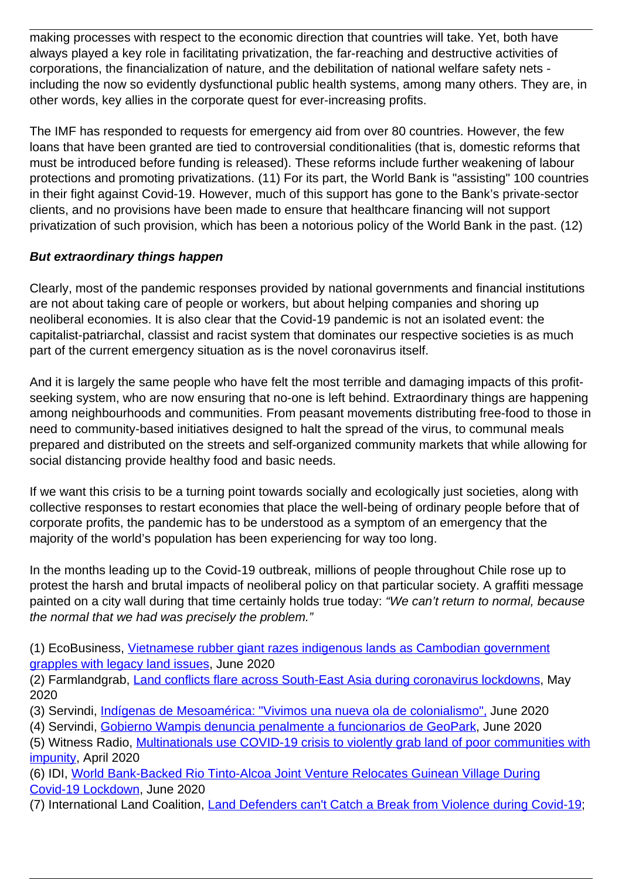making processes with respect to the economic direction that countries will take. Yet, both have always played a key role in facilitating privatization, the far-reaching and destructive activities of corporations, the financialization of nature, and the debilitation of national welfare safety nets including the now so evidently dysfunctional public health systems, among many others. They are, in other words, key allies in the corporate quest for ever-increasing profits.

The IMF has responded to requests for emergency aid from over 80 countries. However, the few loans that have been granted are tied to controversial conditionalities (that is, domestic reforms that must be introduced before funding is released). These reforms include further weakening of labour protections and promoting privatizations. (11) For its part, the World Bank is "assisting" 100 countries in their fight against Covid-19. However, much of this support has gone to the Bank's private-sector clients, and no provisions have been made to ensure that healthcare financing will not support privatization of such provision, which has been a notorious policy of the World Bank in the past. (12)

## **But extraordinary things happen**

Clearly, most of the pandemic responses provided by national governments and financial institutions are not about taking care of people or workers, but about helping companies and shoring up neoliberal economies. It is also clear that the Covid-19 pandemic is not an isolated event: the capitalist-patriarchal, classist and racist system that dominates our respective societies is as much part of the current emergency situation as is the novel coronavirus itself.

And it is largely the same people who have felt the most terrible and damaging impacts of this profitseeking system, who are now ensuring that no-one is left behind. Extraordinary things are happening among neighbourhoods and communities. From peasant movements distributing free-food to those in need to community-based initiatives designed to halt the spread of the virus, to communal meals prepared and distributed on the streets and self-organized community markets that while allowing for social distancing provide healthy food and basic needs.

If we want this crisis to be a turning point towards socially and ecologically just societies, along with collective responses to restart economies that place the well-being of ordinary people before that of corporate profits, the pandemic has to be understood as a symptom of an emergency that the majority of the world's population has been experiencing for way too long.

In the months leading up to the Covid-19 outbreak, millions of people throughout Chile rose up to protest the harsh and brutal impacts of neoliberal policy on that particular society. A graffiti message painted on a city wall during that time certainly holds true today: "We can't return to normal, because the normal that we had was precisely the problem."

(1) EcoBusiness, [Vietnamese rubber giant razes indigenous lands as Cambodian government](https://wrm.us9.list-manage.com/track/click?u=f91b651f7fecdf835b57dc11d&id=d769c145b9&e=08ad7e6520) [grapples with legacy land issues](https://wrm.us9.list-manage.com/track/click?u=f91b651f7fecdf835b57dc11d&id=d769c145b9&e=08ad7e6520), June 2020

(2) Farmlandgrab, [Land conflicts flare across South-East Asia during coronavirus lockdowns](https://wrm.us9.list-manage.com/track/click?u=f91b651f7fecdf835b57dc11d&id=0e42a87bcb&e=08ad7e6520), May 2020

(3) Servindi, [Indígenas de Mesoamérica: "Vivimos una nueva ola de colonialismo",](https://wrm.us9.list-manage.com/track/click?u=f91b651f7fecdf835b57dc11d&id=c5a4964760&e=08ad7e6520) June 2020

(4) Servindi, [Gobierno Wampis denuncia penalmente a funcionarios de GeoPark,](https://wrm.us9.list-manage.com/track/click?u=f91b651f7fecdf835b57dc11d&id=e25d9ade30&e=08ad7e6520) June 2020

(5) Witness Radio, [Multinationals use COVID-19 crisis to violently grab land of poor communities with](https://wrm.us9.list-manage.com/track/click?u=f91b651f7fecdf835b57dc11d&id=9fb3f6eb0b&e=08ad7e6520) [impunity](https://wrm.us9.list-manage.com/track/click?u=f91b651f7fecdf835b57dc11d&id=9fb3f6eb0b&e=08ad7e6520), April 2020

(6) IDI, [World Bank-Backed Rio Tinto-Alcoa Joint Venture Relocates Guinean Village During](https://wrm.us9.list-manage.com/track/click?u=f91b651f7fecdf835b57dc11d&id=de7a7a5220&e=08ad7e6520) [Covid-19 Lockdown,](https://wrm.us9.list-manage.com/track/click?u=f91b651f7fecdf835b57dc11d&id=de7a7a5220&e=08ad7e6520) June 2020

(7) International Land Coalition, [Land Defenders can't Catch a Break from Violence during Covid-19;](https://wrm.us9.list-manage.com/track/click?u=f91b651f7fecdf835b57dc11d&id=04aca576b2&e=08ad7e6520)